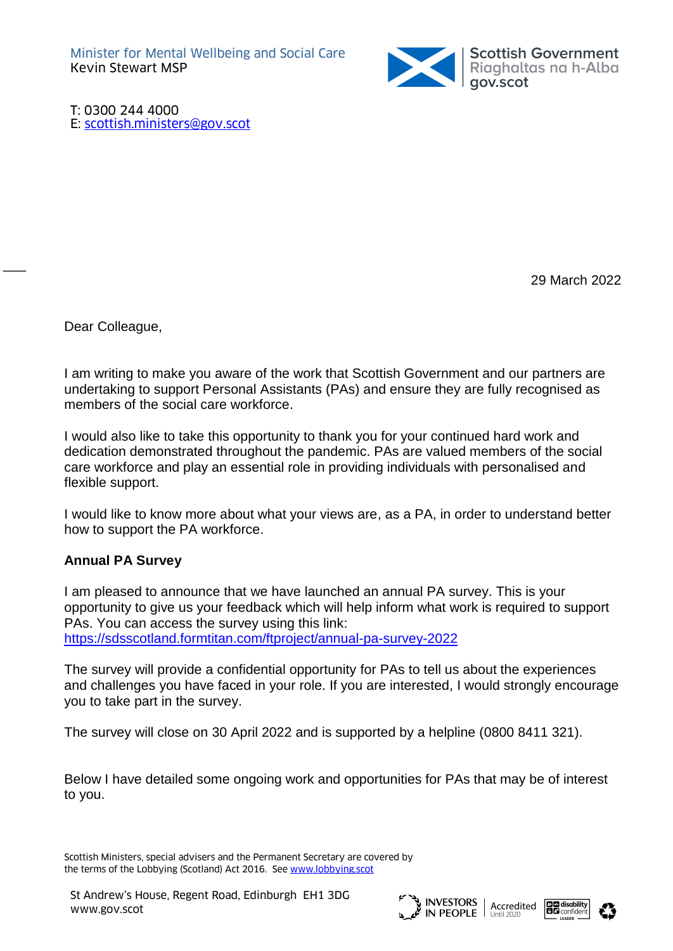

T: 0300 244 4000 E: [scottish.ministers@gov.scot](mailto:scottish.ministers@gov.scot)

29 March 2022

Dear Colleague,

 $\overline{\phantom{a}}$ 

I am writing to make you aware of the work that Scottish Government and our partners are undertaking to support Personal Assistants (PAs) and ensure they are fully recognised as members of the social care workforce.

I would also like to take this opportunity to thank you for your continued hard work and dedication demonstrated throughout the pandemic. PAs are valued members of the social care workforce and play an essential role in providing individuals with personalised and flexible support.

I would like to know more about what your views are, as a PA, in order to understand better how to support the PA workforce.

### **Annual PA Survey**

I am pleased to announce that we have launched an annual PA survey. This is your opportunity to give us your feedback which will help inform what work is required to support PAs. You can access the survey using this link: <https://sdsscotland.formtitan.com/ftproject/annual-pa-survey-2022>

The survey will provide a confidential opportunity for PAs to tell us about the experiences and challenges you have faced in your role. If you are interested, I would strongly encourage you to take part in the survey.

The survey will close on 30 April 2022 and is supported by a helpline (0800 8411 321).

Below I have detailed some ongoing work and opportunities for PAs that may be of interest to you.

Scottish Ministers, special advisers and the Permanent Secretary are covered by the terms of the Lobbying (Scotland) Act 2016. See [www.lobbying.scot](http://www.lobbying.scot/)





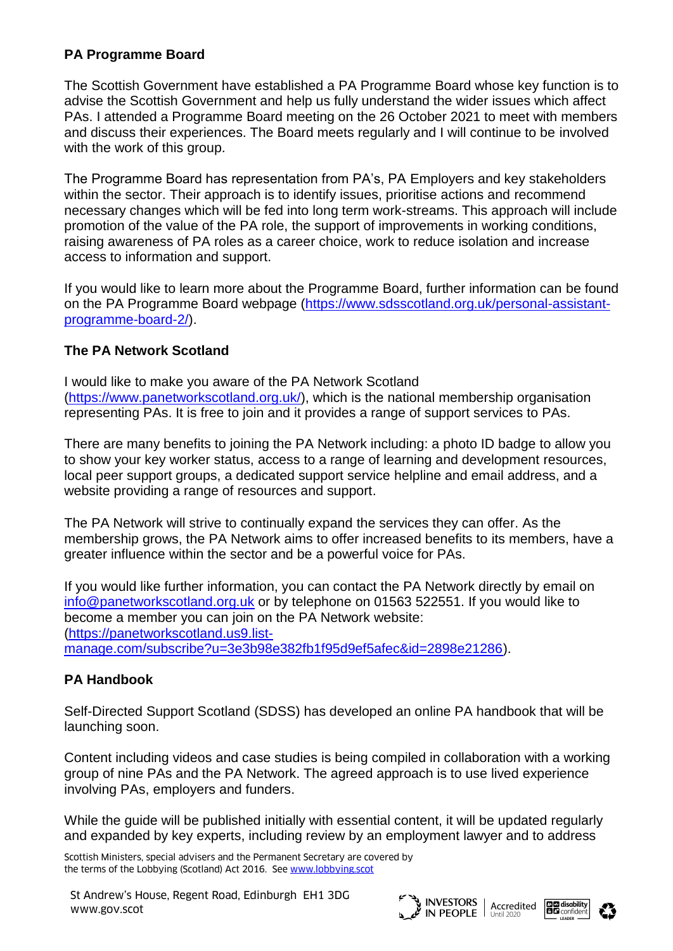### **PA Programme Board**

The Scottish Government have established a PA Programme Board whose key function is to advise the Scottish Government and help us fully understand the wider issues which affect PAs. I attended a Programme Board meeting on the 26 October 2021 to meet with members and discuss their experiences. The Board meets regularly and I will continue to be involved with the work of this group.

The Programme Board has representation from PA's, PA Employers and key stakeholders within the sector. Their approach is to identify issues, prioritise actions and recommend necessary changes which will be fed into long term work-streams. This approach will include promotion of the value of the PA role, the support of improvements in working conditions, raising awareness of PA roles as a career choice, work to reduce isolation and increase access to information and support.

If you would like to learn more about the Programme Board, further information can be found on the PA Programme Board webpage [\(https://www.sdsscotland.org.uk/personal-assistant](https://www.sdsscotland.org.uk/personal-assistant-programme-board-2/)[programme-board-2/\)](https://www.sdsscotland.org.uk/personal-assistant-programme-board-2/).

# **The PA Network Scotland**

I would like to make you aware of the PA Network Scotland [\(https://www.panetworkscotland.org.uk/\)](https://www.panetworkscotland.org.uk/), which is the national membership organisation representing PAs. It is free to join and it provides a range of support services to PAs.

There are many benefits to joining the PA Network including: a photo ID badge to allow you to show your key worker status, access to a range of learning and development resources, local peer support groups, a dedicated support service helpline and email address, and a website providing a range of resources and support.

The PA Network will strive to continually expand the services they can offer. As the membership grows, the PA Network aims to offer increased benefits to its members, have a greater influence within the sector and be a powerful voice for PAs.

If you would like further information, you can contact the PA Network directly by email on [info@panetworkscotland.org.uk](mailto:info@panetworkscotland.org.uk) or by telephone on 01563 522551. If you would like to become a member you can join on the PA Network website: [\(https://panetworkscotland.us9.list](https://panetworkscotland.us9.list-manage.com/subscribe?u=3e3b98e382fb1f95d9ef5afec&id=2898e21286)[manage.com/subscribe?u=3e3b98e382fb1f95d9ef5afec&id=2898e21286\)](https://panetworkscotland.us9.list-manage.com/subscribe?u=3e3b98e382fb1f95d9ef5afec&id=2898e21286).

### **PA Handbook**

Self-Directed Support Scotland (SDSS) has developed an online PA handbook that will be launching soon.

Content including videos and case studies is being compiled in collaboration with a working group of nine PAs and the PA Network. The agreed approach is to use lived experience involving PAs, employers and funders.

While the guide will be published initially with essential content, it will be updated regularly and expanded by key experts, including review by an employment lawyer and to address

Scottish Ministers, special advisers and the Permanent Secretary are covered by the terms of the Lobbying (Scotland) Act 2016. See [www.lobbying.scot](http://www.lobbying.scot/)